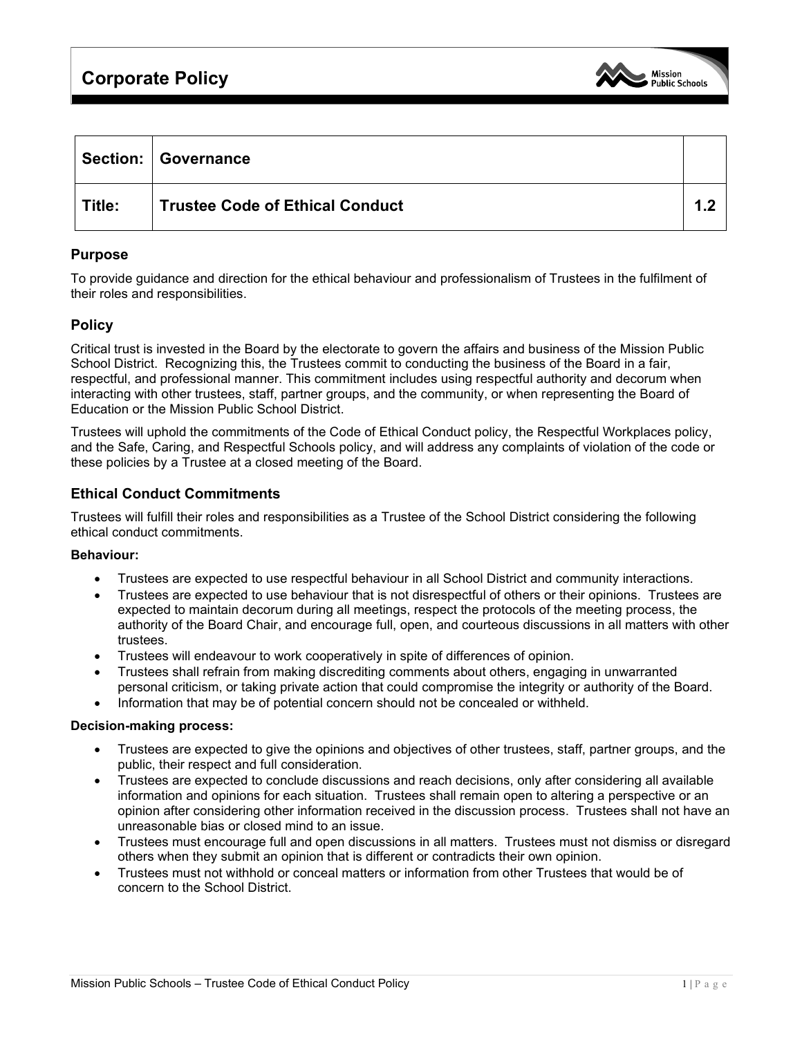# **Corporate Policy**



|        | Section:   Governance                  |  |
|--------|----------------------------------------|--|
| Title: | <b>Trustee Code of Ethical Conduct</b> |  |

### **Purpose**

To provide guidance and direction for the ethical behaviour and professionalism of Trustees in the fulfilment of their roles and responsibilities.

## **Policy**

Critical trust is invested in the Board by the electorate to govern the affairs and business of the Mission Public School District. Recognizing this, the Trustees commit to conducting the business of the Board in a fair, respectful, and professional manner. This commitment includes using respectful authority and decorum when interacting with other trustees, staff, partner groups, and the community, or when representing the Board of Education or the Mission Public School District.

Trustees will uphold the commitments of the Code of Ethical Conduct policy, the Respectful Workplaces policy, and the Safe, Caring, and Respectful Schools policy, and will address any complaints of violation of the code or these policies by a Trustee at a closed meeting of the Board.

### **Ethical Conduct Commitments**

Trustees will fulfill their roles and responsibilities as a Trustee of the School District considering the following ethical conduct commitments.

#### **Behaviour:**

- Trustees are expected to use respectful behaviour in all School District and community interactions.
- Trustees are expected to use behaviour that is not disrespectful of others or their opinions. Trustees are expected to maintain decorum during all meetings, respect the protocols of the meeting process, the authority of the Board Chair, and encourage full, open, and courteous discussions in all matters with other trustees.
- Trustees will endeavour to work cooperatively in spite of differences of opinion.
- Trustees shall refrain from making discrediting comments about others, engaging in unwarranted personal criticism, or taking private action that could compromise the integrity or authority of the Board.
- Information that may be of potential concern should not be concealed or withheld.

#### **Decision-making process:**

- Trustees are expected to give the opinions and objectives of other trustees, staff, partner groups, and the public, their respect and full consideration.
- Trustees are expected to conclude discussions and reach decisions, only after considering all available information and opinions for each situation. Trustees shall remain open to altering a perspective or an opinion after considering other information received in the discussion process. Trustees shall not have an unreasonable bias or closed mind to an issue.
- Trustees must encourage full and open discussions in all matters. Trustees must not dismiss or disregard others when they submit an opinion that is different or contradicts their own opinion.
- Trustees must not withhold or conceal matters or information from other Trustees that would be of concern to the School District.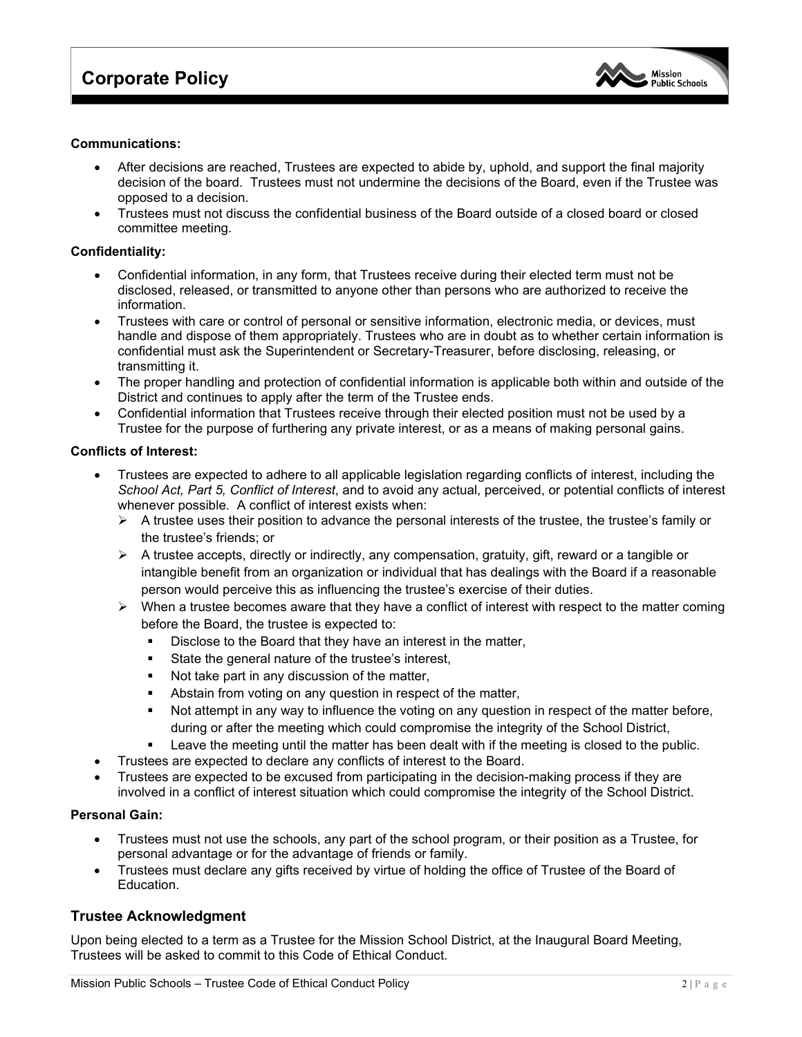

#### **Communications:**

- After decisions are reached, Trustees are expected to abide by, uphold, and support the final majority decision of the board. Trustees must not undermine the decisions of the Board, even if the Trustee was opposed to a decision.
- Trustees must not discuss the confidential business of the Board outside of a closed board or closed committee meeting.

#### **Confidentiality:**

- Confidential information, in any form, that Trustees receive during their elected term must not be disclosed, released, or transmitted to anyone other than persons who are authorized to receive the information.
- Trustees with care or control of personal or sensitive information, electronic media, or devices, must handle and dispose of them appropriately. Trustees who are in doubt as to whether certain information is confidential must ask the Superintendent or Secretary-Treasurer, before disclosing, releasing, or transmitting it.
- The proper handling and protection of confidential information is applicable both within and outside of the District and continues to apply after the term of the Trustee ends.
- Confidential information that Trustees receive through their elected position must not be used by a Trustee for the purpose of furthering any private interest, or as a means of making personal gains.

#### **Conflicts of Interest:**

- Trustees are expected to adhere to all applicable legislation regarding conflicts of interest, including the *School Act, Part 5, Conflict of Interest*, and to avoid any actual, perceived, or potential conflicts of interest whenever possible. A conflict of interest exists when:
	- $\triangleright$  A trustee uses their position to advance the personal interests of the trustee, the trustee's family or the trustee's friends; or
	- $\triangleright$  A trustee accepts, directly or indirectly, any compensation, gratuity, gift, reward or a tangible or intangible benefit from an organization or individual that has dealings with the Board if a reasonable person would perceive this as influencing the trustee's exercise of their duties.
	- $\triangleright$  When a trustee becomes aware that they have a conflict of interest with respect to the matter coming before the Board, the trustee is expected to:
		- Disclose to the Board that they have an interest in the matter,
		- State the general nature of the trustee's interest,
		- Not take part in any discussion of the matter,
		- Abstain from voting on any question in respect of the matter,
		- Not attempt in any way to influence the voting on any question in respect of the matter before, during or after the meeting which could compromise the integrity of the School District,
		- Leave the meeting until the matter has been dealt with if the meeting is closed to the public.
- Trustees are expected to declare any conflicts of interest to the Board.
- Trustees are expected to be excused from participating in the decision-making process if they are involved in a conflict of interest situation which could compromise the integrity of the School District.

#### **Personal Gain:**

- Trustees must not use the schools, any part of the school program, or their position as a Trustee, for personal advantage or for the advantage of friends or family.
- Trustees must declare any gifts received by virtue of holding the office of Trustee of the Board of Education.

## **Trustee Acknowledgment**

Upon being elected to a term as a Trustee for the Mission School District, at the Inaugural Board Meeting, Trustees will be asked to commit to this Code of Ethical Conduct.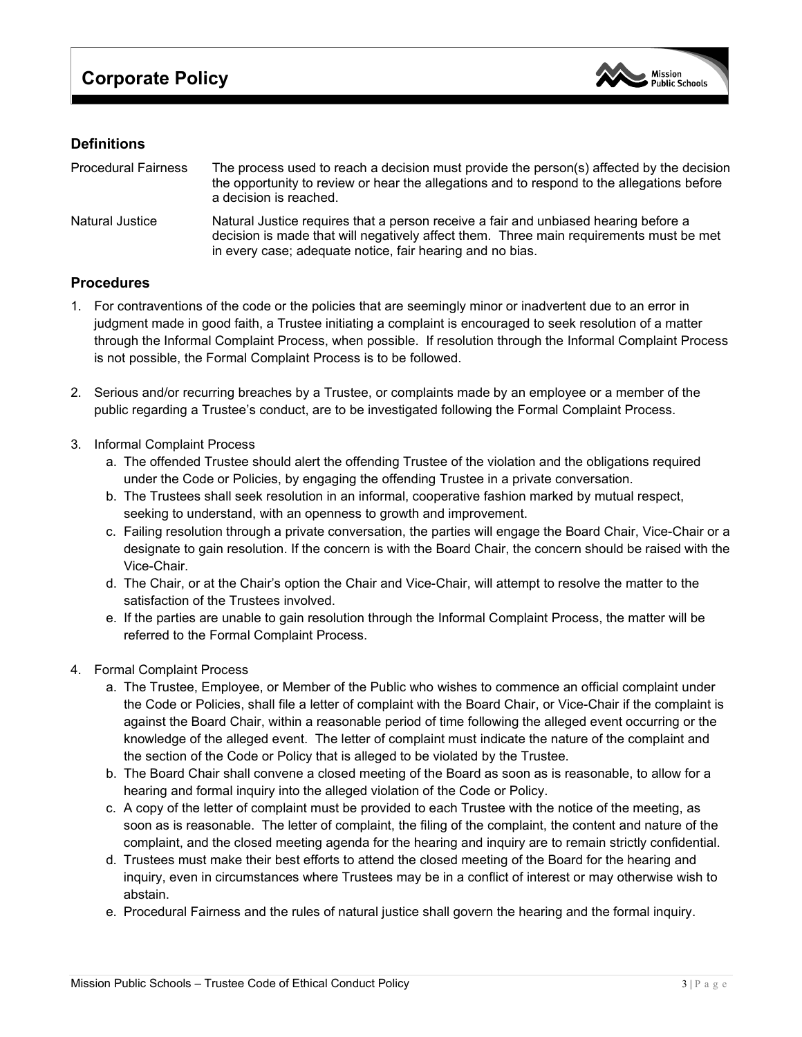

## **Definitions**

| <b>Procedural Fairness</b> | The process used to reach a decision must provide the person(s) affected by the decision<br>the opportunity to review or hear the allegations and to respond to the allegations before<br>a decision is reached.                           |
|----------------------------|--------------------------------------------------------------------------------------------------------------------------------------------------------------------------------------------------------------------------------------------|
| <b>Natural Justice</b>     | Natural Justice requires that a person receive a fair and unbiased hearing before a<br>decision is made that will negatively affect them. Three main requirements must be met<br>in every case; adequate notice, fair hearing and no bias. |

## **Procedures**

- 1. For contraventions of the code or the policies that are seemingly minor or inadvertent due to an error in judgment made in good faith, a Trustee initiating a complaint is encouraged to seek resolution of a matter through the Informal Complaint Process, when possible. If resolution through the Informal Complaint Process is not possible, the Formal Complaint Process is to be followed.
- 2. Serious and/or recurring breaches by a Trustee, or complaints made by an employee or a member of the public regarding a Trustee's conduct, are to be investigated following the Formal Complaint Process.
- 3. Informal Complaint Process
	- a. The offended Trustee should alert the offending Trustee of the violation and the obligations required under the Code or Policies, by engaging the offending Trustee in a private conversation.
	- b. The Trustees shall seek resolution in an informal, cooperative fashion marked by mutual respect, seeking to understand, with an openness to growth and improvement.
	- c. Failing resolution through a private conversation, the parties will engage the Board Chair, Vice-Chair or a designate to gain resolution. If the concern is with the Board Chair, the concern should be raised with the Vice-Chair.
	- d. The Chair, or at the Chair's option the Chair and Vice-Chair, will attempt to resolve the matter to the satisfaction of the Trustees involved.
	- e. If the parties are unable to gain resolution through the Informal Complaint Process, the matter will be referred to the Formal Complaint Process.
- 4. Formal Complaint Process
	- a. The Trustee, Employee, or Member of the Public who wishes to commence an official complaint under the Code or Policies, shall file a letter of complaint with the Board Chair, or Vice-Chair if the complaint is against the Board Chair, within a reasonable period of time following the alleged event occurring or the knowledge of the alleged event. The letter of complaint must indicate the nature of the complaint and the section of the Code or Policy that is alleged to be violated by the Trustee.
	- b. The Board Chair shall convene a closed meeting of the Board as soon as is reasonable, to allow for a hearing and formal inquiry into the alleged violation of the Code or Policy.
	- c. A copy of the letter of complaint must be provided to each Trustee with the notice of the meeting, as soon as is reasonable. The letter of complaint, the filing of the complaint, the content and nature of the complaint, and the closed meeting agenda for the hearing and inquiry are to remain strictly confidential.
	- d. Trustees must make their best efforts to attend the closed meeting of the Board for the hearing and inquiry, even in circumstances where Trustees may be in a conflict of interest or may otherwise wish to abstain.
	- e. Procedural Fairness and the rules of natural justice shall govern the hearing and the formal inquiry.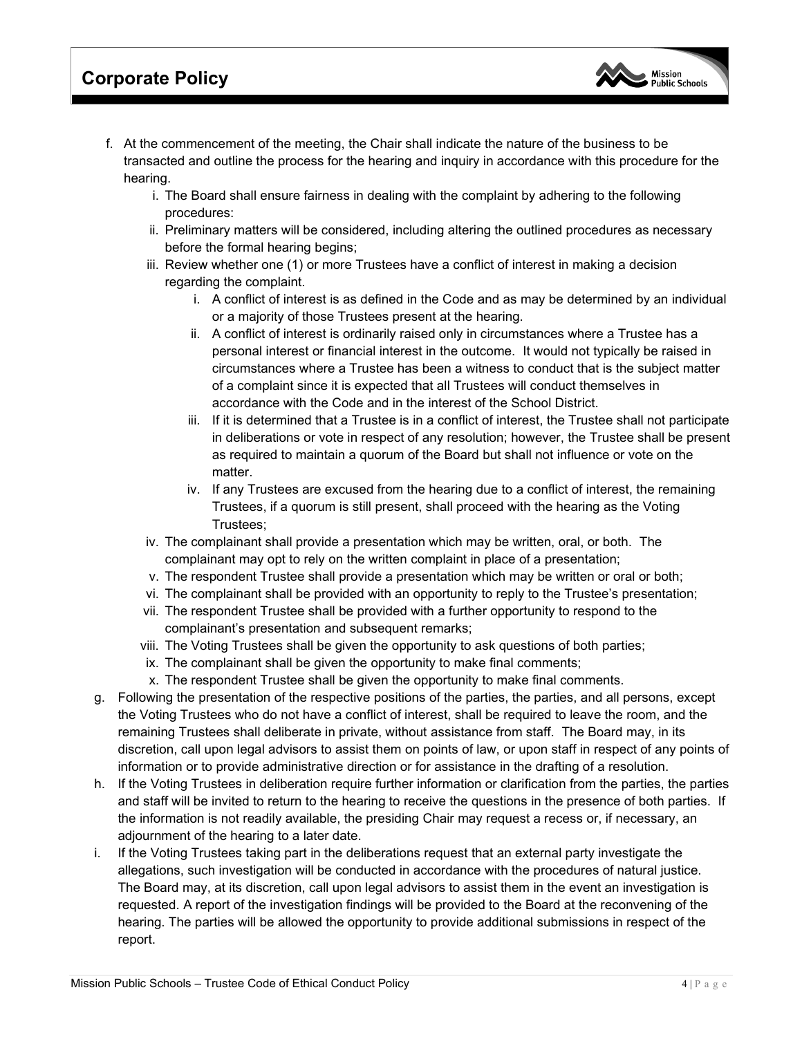## **Corporate Policy**

- f. At the commencement of the meeting, the Chair shall indicate the nature of the business to be transacted and outline the process for the hearing and inquiry in accordance with this procedure for the hearing.
	- i. The Board shall ensure fairness in dealing with the complaint by adhering to the following procedures:
	- ii. Preliminary matters will be considered, including altering the outlined procedures as necessary before the formal hearing begins;
	- iii. Review whether one (1) or more Trustees have a conflict of interest in making a decision regarding the complaint.
		- i. A conflict of interest is as defined in the Code and as may be determined by an individual or a majority of those Trustees present at the hearing.
		- ii. A conflict of interest is ordinarily raised only in circumstances where a Trustee has a personal interest or financial interest in the outcome. It would not typically be raised in circumstances where a Trustee has been a witness to conduct that is the subject matter of a complaint since it is expected that all Trustees will conduct themselves in accordance with the Code and in the interest of the School District.
		- iii. If it is determined that a Trustee is in a conflict of interest, the Trustee shall not participate in deliberations or vote in respect of any resolution; however, the Trustee shall be present as required to maintain a quorum of the Board but shall not influence or vote on the matter.
		- iv. If any Trustees are excused from the hearing due to a conflict of interest, the remaining Trustees, if a quorum is still present, shall proceed with the hearing as the Voting Trustees;
	- iv. The complainant shall provide a presentation which may be written, oral, or both. The complainant may opt to rely on the written complaint in place of a presentation;
	- v. The respondent Trustee shall provide a presentation which may be written or oral or both;
	- vi. The complainant shall be provided with an opportunity to reply to the Trustee's presentation;
	- vii. The respondent Trustee shall be provided with a further opportunity to respond to the complainant's presentation and subsequent remarks;
	- viii. The Voting Trustees shall be given the opportunity to ask questions of both parties;
	- ix. The complainant shall be given the opportunity to make final comments;
	- x. The respondent Trustee shall be given the opportunity to make final comments.
- g. Following the presentation of the respective positions of the parties, the parties, and all persons, except the Voting Trustees who do not have a conflict of interest, shall be required to leave the room, and the remaining Trustees shall deliberate in private, without assistance from staff. The Board may, in its discretion, call upon legal advisors to assist them on points of law, or upon staff in respect of any points of information or to provide administrative direction or for assistance in the drafting of a resolution.
- h. If the Voting Trustees in deliberation require further information or clarification from the parties, the parties and staff will be invited to return to the hearing to receive the questions in the presence of both parties. If the information is not readily available, the presiding Chair may request a recess or, if necessary, an adjournment of the hearing to a later date.
- i. If the Voting Trustees taking part in the deliberations request that an external party investigate the allegations, such investigation will be conducted in accordance with the procedures of natural justice. The Board may, at its discretion, call upon legal advisors to assist them in the event an investigation is requested. A report of the investigation findings will be provided to the Board at the reconvening of the hearing. The parties will be allowed the opportunity to provide additional submissions in respect of the report.

**Mission Public Schools**